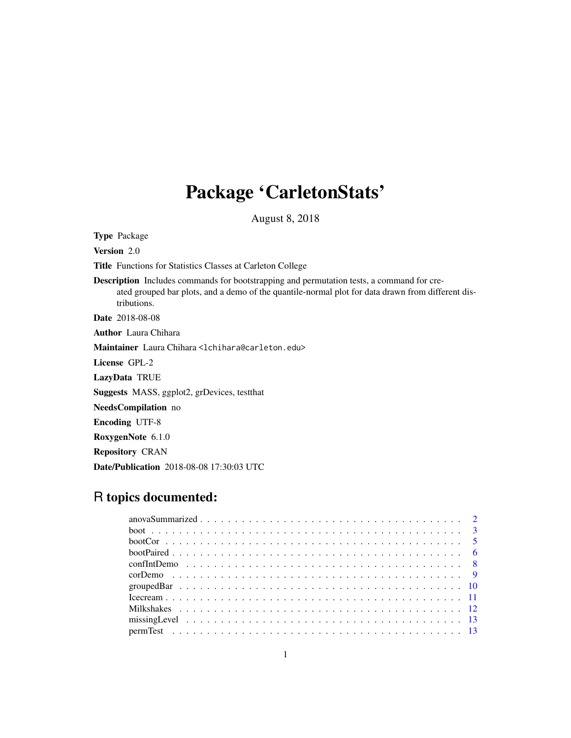# Package 'CarletonStats'

August 8, 2018

Type Package

Version 2.0

Title Functions for Statistics Classes at Carleton College

Description Includes commands for bootstrapping and permutation tests, a command for created grouped bar plots, and a demo of the quantile-normal plot for data drawn from different distributions. Date 2018-08-08

Author Laura Chihara

Maintainer Laura Chihara <lchihara@carleton.edu>

License GPL-2

LazyData TRUE

Suggests MASS, ggplot2, grDevices, testthat

NeedsCompilation no

Encoding UTF-8

RoxygenNote 6.1.0

Repository CRAN

Date/Publication 2018-08-08 17:30:03 UTC

# R topics documented: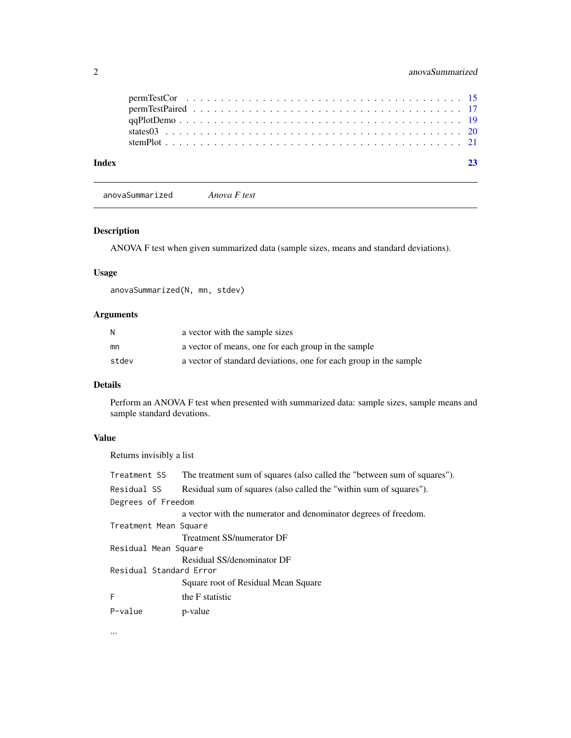<span id="page-1-0"></span>

| Index |  |  |
|-------|--|--|
|       |  |  |
|       |  |  |
|       |  |  |
|       |  |  |
|       |  |  |

anovaSummarized *Anova F test*

# Description

ANOVA F test when given summarized data (sample sizes, means and standard deviations).

# Usage

anovaSummarized(N, mn, stdev)

# Arguments

| -N    | a vector with the sample sizes                                    |
|-------|-------------------------------------------------------------------|
| mn    | a vector of means, one for each group in the sample               |
| stdev | a vector of standard deviations, one for each group in the sample |

# Details

Perform an ANOVA F test when presented with summarized data: sample sizes, sample means and sample standard devations.

# Value

Returns invisibly a list

| Treatment SS            | The treatment sum of squares (also called the "between sum of squares"). |
|-------------------------|--------------------------------------------------------------------------|
| Residual SS             | Residual sum of squares (also called the "within sum of squares").       |
| Degrees of Freedom      |                                                                          |
|                         | a vector with the numerator and denominator degrees of freedom.          |
| Treatment Mean Square   |                                                                          |
|                         | Treatment SS/numerator DF                                                |
| Residual Mean Square    |                                                                          |
|                         | Residual SS/denominator DF                                               |
| Residual Standard Error |                                                                          |
|                         | Square root of Residual Mean Square                                      |
| F                       | the F statistic                                                          |
| P-value                 | p-value                                                                  |

...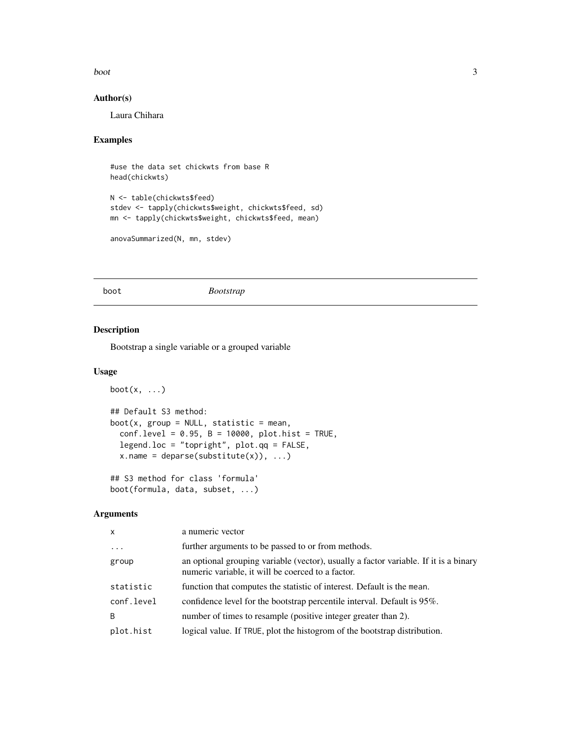<span id="page-2-0"></span>boot 3

# Author(s)

Laura Chihara

# Examples

```
#use the data set chickwts from base R
head(chickwts)
N <- table(chickwts$feed)
stdev <- tapply(chickwts$weight, chickwts$feed, sd)
mn <- tapply(chickwts$weight, chickwts$feed, mean)
```

```
anovaSummarized(N, mn, stdev)
```
boot *Bootstrap*

# Description

Bootstrap a single variable or a grouped variable

#### Usage

```
boot(x, \ldots)## Default S3 method:
boot(x, group = NULL, statistic = mean,
  conf. level = 0.95, B = 10000, plot. hist = TRUE,
  legend.loc = "topright", plot.qq = FALSE,
  x.name = deparse(substitute(x)), ...
```
## S3 method for class 'formula' boot(formula, data, subset, ...)

#### Arguments

| X          | a numeric vector                                                                                                                          |  |
|------------|-------------------------------------------------------------------------------------------------------------------------------------------|--|
| $\ddotsc$  | further arguments to be passed to or from methods.                                                                                        |  |
| group      | an optional grouping variable (vector), usually a factor variable. If it is a binary<br>numeric variable, it will be coerced to a factor. |  |
| statistic  | function that computes the statistic of interest. Default is the mean.                                                                    |  |
| conf.level | confidence level for the bootstrap percentile interval. Default is 95%.                                                                   |  |
| B          | number of times to resample (positive integer greater than 2).                                                                            |  |
| plot.hist  | logical value. If TRUE, plot the histogrom of the bootstrap distribution.                                                                 |  |
|            |                                                                                                                                           |  |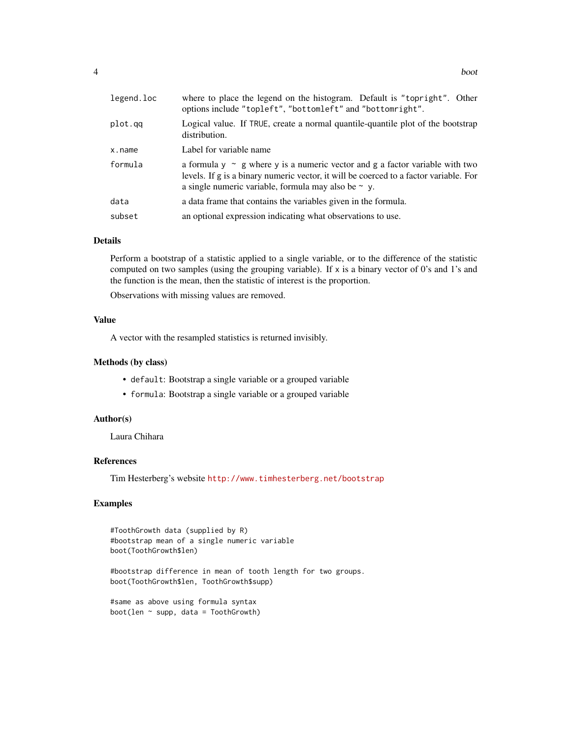| legend.loc | where to place the legend on the histogram. Default is "topright". Other<br>options include "topleft", "bottomleft" and "bottomright".                                                                                                 |  |  |
|------------|----------------------------------------------------------------------------------------------------------------------------------------------------------------------------------------------------------------------------------------|--|--|
| plot.qq    | Logical value. If TRUE, create a normal quantile-quantile plot of the bootstrap<br>distribution.                                                                                                                                       |  |  |
| x.name     | Label for variable name                                                                                                                                                                                                                |  |  |
| formula    | a formula $y \sim g$ where y is a numeric vector and g a factor variable with two<br>levels. If g is a binary numeric vector, it will be coerced to a factor variable. For<br>a single numeric variable, formula may also be $\sim$ y. |  |  |
| data       | a data frame that contains the variables given in the formula.                                                                                                                                                                         |  |  |
| subset     | an optional expression indicating what observations to use.                                                                                                                                                                            |  |  |

#### Details

Perform a bootstrap of a statistic applied to a single variable, or to the difference of the statistic computed on two samples (using the grouping variable). If  $x$  is a binary vector of 0's and 1's and the function is the mean, then the statistic of interest is the proportion.

Observations with missing values are removed.

#### Value

A vector with the resampled statistics is returned invisibly.

#### Methods (by class)

- default: Bootstrap a single variable or a grouped variable
- formula: Bootstrap a single variable or a grouped variable

# Author(s)

Laura Chihara

# References

Tim Hesterberg's website <http://www.timhesterberg.net/bootstrap>

#### Examples

```
#ToothGrowth data (supplied by R)
#bootstrap mean of a single numeric variable
boot(ToothGrowth$len)
```
#bootstrap difference in mean of tooth length for two groups. boot(ToothGrowth\$len, ToothGrowth\$supp)

```
#same as above using formula syntax
boot(len \sim supp, data = ToothGrowth)
```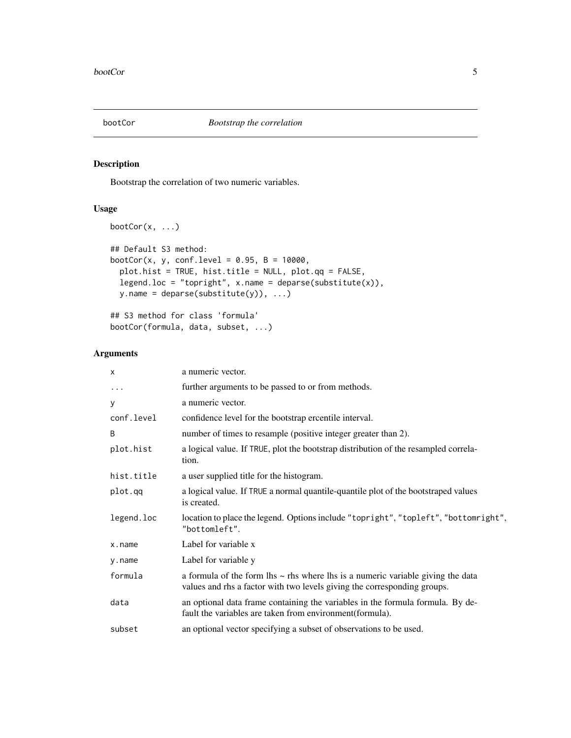<span id="page-4-0"></span>

Bootstrap the correlation of two numeric variables.

#### Usage

```
bootCor(x, ...)
## Default S3 method:
bootCor(x, y, conf.level = 0.95, B = 10000,plot.hist = TRUE, hist.title = NULL, plot.qq = FALSE,
 legend.loc = "topright", x.name = deparse(substitute(x)),y.name = deparse(substitute(y)), ...
```
## S3 method for class 'formula' bootCor(formula, data, subset, ...)

# Arguments

| X          | a numeric vector.                                                                                                                                                |  |
|------------|------------------------------------------------------------------------------------------------------------------------------------------------------------------|--|
| $\cdots$   | further arguments to be passed to or from methods.                                                                                                               |  |
| y          | a numeric vector.                                                                                                                                                |  |
| conf.level | confidence level for the bootstrap ercentile interval.                                                                                                           |  |
| B          | number of times to resample (positive integer greater than 2).                                                                                                   |  |
| plot.hist  | a logical value. If TRUE, plot the bootstrap distribution of the resampled correla-<br>tion.                                                                     |  |
| hist.title | a user supplied title for the histogram.                                                                                                                         |  |
| plot.qq    | a logical value. If TRUE a normal quantile-quantile plot of the bootstraped values<br>is created.                                                                |  |
| legend.loc | location to place the legend. Options include "topright", "topleft", "bottomright",<br>"bottomleft".                                                             |  |
| x.name     | Label for variable x                                                                                                                                             |  |
| y.name     | Label for variable y                                                                                                                                             |  |
| formula    | a formula of the form lhs $\sim$ rhs where lhs is a numeric variable giving the data<br>values and rhs a factor with two levels giving the corresponding groups. |  |
| data       | an optional data frame containing the variables in the formula formula. By de-<br>fault the variables are taken from environment (formula).                      |  |
| subset     | an optional vector specifying a subset of observations to be used.                                                                                               |  |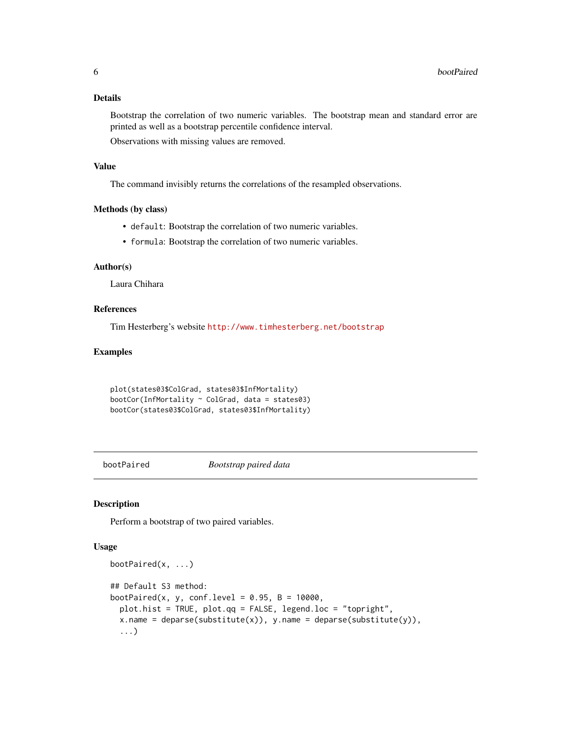#### <span id="page-5-0"></span>Details

Bootstrap the correlation of two numeric variables. The bootstrap mean and standard error are printed as well as a bootstrap percentile confidence interval.

Observations with missing values are removed.

#### Value

The command invisibly returns the correlations of the resampled observations.

#### Methods (by class)

- default: Bootstrap the correlation of two numeric variables.
- formula: Bootstrap the correlation of two numeric variables.

# Author(s)

Laura Chihara

#### References

Tim Hesterberg's website <http://www.timhesterberg.net/bootstrap>

#### Examples

```
plot(states03$ColGrad, states03$InfMortality)
bootCor(InfMortality ~ ColGrad, data = states03)
bootCor(states03$ColGrad, states03$InfMortality)
```
bootPaired *Bootstrap paired data*

#### Description

Perform a bootstrap of two paired variables.

#### Usage

```
bootPaired(x, ...)
## Default S3 method:
bootPaired(x, y, conf.level = 0.95, B = 10000,
 plot.hist = TRUE, plot.qq = FALSE, legend.loc = "topright",
  x.name = deparse(substitute(x)), y.name = deparse(substitute(y)),...)
```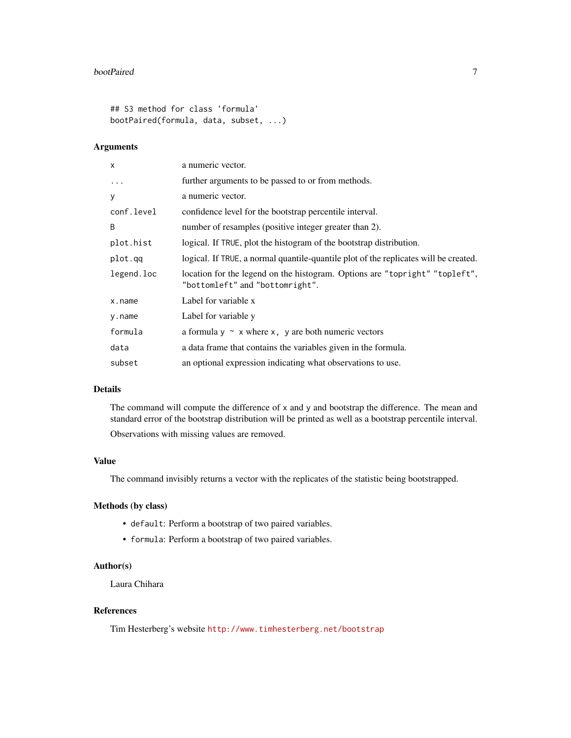#### bootPaired 7

## S3 method for class 'formula' bootPaired(formula, data, subset, ...)

# Arguments

| a numeric vector.                                                                                              |
|----------------------------------------------------------------------------------------------------------------|
| further arguments to be passed to or from methods.                                                             |
| a numeric vector.                                                                                              |
| confidence level for the bootstrap percentile interval.                                                        |
| number of resamples (positive integer greater than 2).                                                         |
| logical. If TRUE, plot the histogram of the bootstrap distribution.                                            |
| logical. If TRUE, a normal quantile-quantile plot of the replicates will be created.                           |
| location for the legend on the histogram. Options are "topright" "topleft",<br>"bottomleft" and "bottomright". |
| Label for variable x                                                                                           |
| Label for variable y                                                                                           |
| a formula $y \sim x$ where x, y are both numeric vectors                                                       |
| a data frame that contains the variables given in the formula.                                                 |
| an optional expression indicating what observations to use.                                                    |
|                                                                                                                |

# Details

The command will compute the difference of x and y and bootstrap the difference. The mean and standard error of the bootstrap distribution will be printed as well as a bootstrap percentile interval.

Observations with missing values are removed.

# Value

The command invisibly returns a vector with the replicates of the statistic being bootstrapped.

## Methods (by class)

- default: Perform a bootstrap of two paired variables.
- formula: Perform a bootstrap of two paired variables.

#### Author(s)

Laura Chihara

# References

Tim Hesterberg's website <http://www.timhesterberg.net/bootstrap>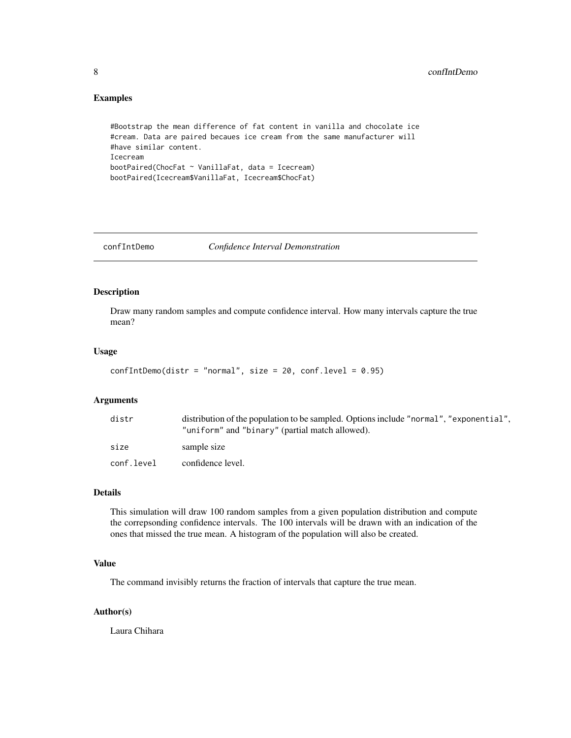#### <span id="page-7-0"></span>Examples

```
#Bootstrap the mean difference of fat content in vanilla and chocolate ice
#cream. Data are paired becaues ice cream from the same manufacturer will
#have similar content.
Icecream
bootPaired(ChocFat ~ VanillaFat, data = Icecream)
bootPaired(Icecream$VanillaFat, Icecream$ChocFat)
```
confIntDemo *Confidence Interval Demonstration*

# Description

Draw many random samples and compute confidence interval. How many intervals capture the true mean?

#### Usage

```
confIntDemo(distr = "normal", size = 20, conf.level = 0.95)
```
# Arguments

| distr      | distribution of the population to be sampled. Options include "normal", "exponential",<br>"uniform" and "binary" (partial match allowed). |  |  |
|------------|-------------------------------------------------------------------------------------------------------------------------------------------|--|--|
| size       | sample size                                                                                                                               |  |  |
| conf.level | confidence level.                                                                                                                         |  |  |

#### Details

This simulation will draw 100 random samples from a given population distribution and compute the correpsonding confidence intervals. The 100 intervals will be drawn with an indication of the ones that missed the true mean. A histogram of the population will also be created.

#### Value

The command invisibly returns the fraction of intervals that capture the true mean.

#### Author(s)

Laura Chihara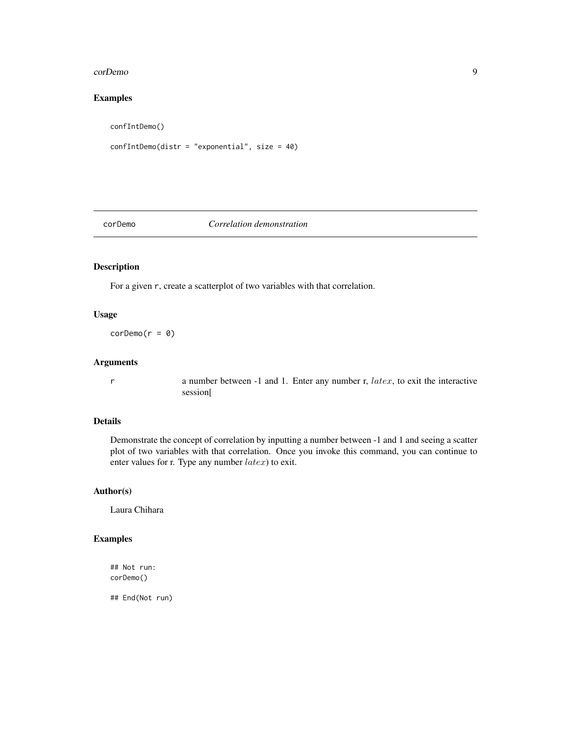#### <span id="page-8-0"></span>corDemo 9

# Examples

confIntDemo()

```
confIntDemo(distr = "exponential", size = 40)
```
#### corDemo *Correlation demonstration*

# Description

For a given r, create a scatterplot of two variables with that correlation.

#### Usage

 $corDemo(r = 0)$ 

# Arguments

r a number between -1 and 1. Enter any number r, latex, to exit the interactive session[

# Details

Demonstrate the concept of correlation by inputting a number between -1 and 1 and seeing a scatter plot of two variables with that correlation. Once you invoke this command, you can continue to enter values for r. Type any number  $\text{later}$ ) to exit.

#### Author(s)

Laura Chihara

# Examples

## Not run: corDemo()

## End(Not run)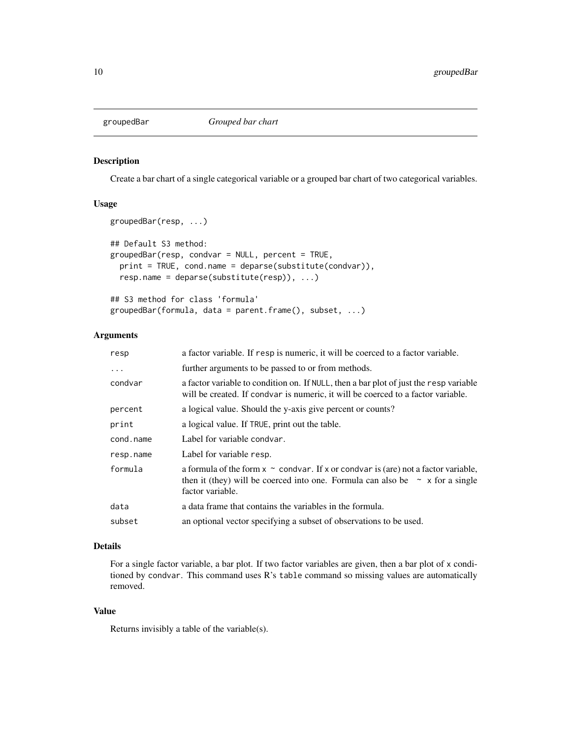<span id="page-9-0"></span>

Create a bar chart of a single categorical variable or a grouped bar chart of two categorical variables.

# Usage

```
groupedBar(resp, ...)
## Default S3 method:
groupedBar(resp, condvar = NULL, percent = TRUE,
 print = TRUE, cond.name = deparse(substitute(condvar)),
 resp.name = deparse(substitute(resp)), ...)
## S3 method for class 'formula'
```

```
groupedBar(formula, data = parent.frame(), subset, ...)
```
# Arguments

| a factor variable. If resp is numeric, it will be coerced to a factor variable.                                                                                                                   |  |
|---------------------------------------------------------------------------------------------------------------------------------------------------------------------------------------------------|--|
| further arguments to be passed to or from methods.                                                                                                                                                |  |
| a factor variable to condition on. If NULL, then a bar plot of just the resp variable<br>will be created. If condvar is numeric, it will be coerced to a factor variable.                         |  |
| a logical value. Should the y-axis give percent or counts?                                                                                                                                        |  |
| a logical value. If TRUE, print out the table.                                                                                                                                                    |  |
| Label for variable condvar.                                                                                                                                                                       |  |
| Label for variable resp.                                                                                                                                                                          |  |
| a formula of the form $x \sim$ condvar. If x or condvar is (are) not a factor variable,<br>then it (they) will be coerced into one. Formula can also be $\sim x$ for a single<br>factor variable. |  |
| a data frame that contains the variables in the formula.                                                                                                                                          |  |
| an optional vector specifying a subset of observations to be used.                                                                                                                                |  |
|                                                                                                                                                                                                   |  |

#### Details

For a single factor variable, a bar plot. If two factor variables are given, then a bar plot of x conditioned by condvar. This command uses R's table command so missing values are automatically removed.

# Value

Returns invisibly a table of the variable(s).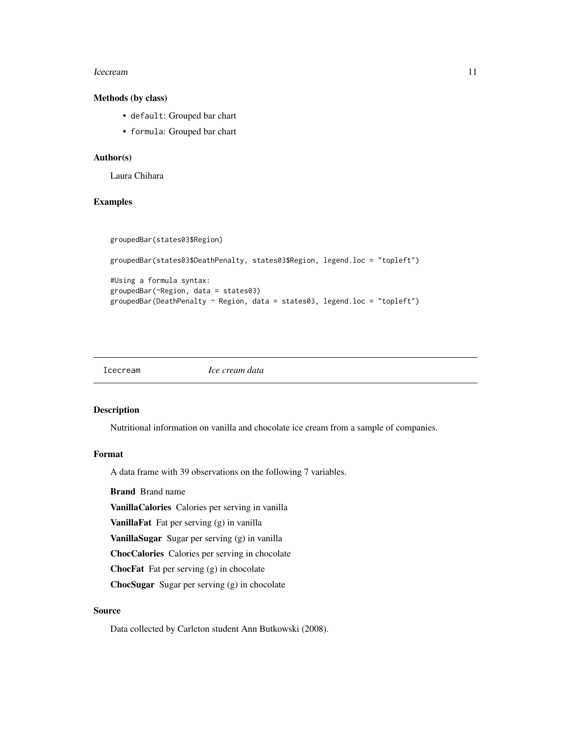#### <span id="page-10-0"></span>Icecream and the set of the set of the set of the set of the set of the set of the set of the set of the set of the set of the set of the set of the set of the set of the set of the set of the set of the set of the set of

# Methods (by class)

- default: Grouped bar chart
- formula: Grouped bar chart

#### Author(s)

Laura Chihara

#### Examples

```
groupedBar(states03$Region)
groupedBar(states03$DeathPenalty, states03$Region, legend.loc = "topleft")
#Using a formula syntax:
groupedBar(~Region, data = states03)
groupedBar(DeathPenalty ~ Region, data = states03, legend.loc = "topleft")
```
Icecream *Ice cream data*

#### Description

Nutritional information on vanilla and chocolate ice cream from a sample of companies.

#### Format

A data frame with 39 observations on the following 7 variables.

Brand Brand name

VanillaCalories Calories per serving in vanilla

VanillaFat Fat per serving (g) in vanilla

VanillaSugar Sugar per serving (g) in vanilla

ChocCalories Calories per serving in chocolate

ChocFat Fat per serving (g) in chocolate

ChocSugar Sugar per serving (g) in chocolate

# Source

Data collected by Carleton student Ann Butkowski (2008).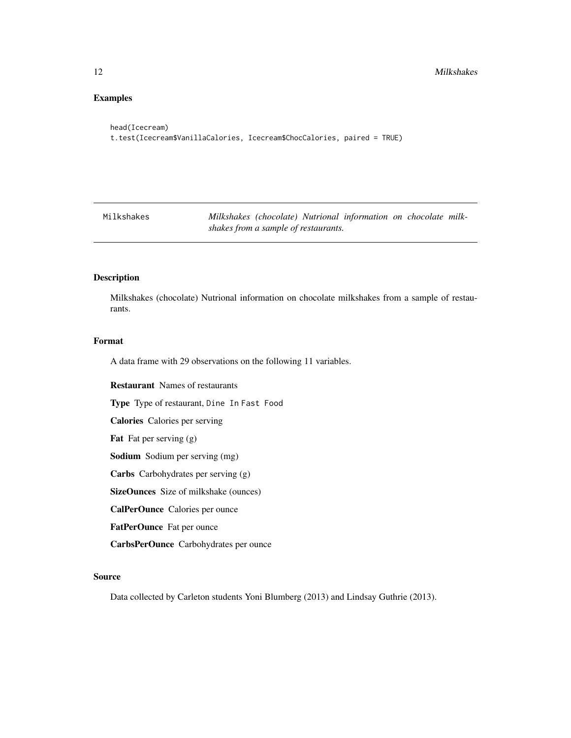# <span id="page-11-0"></span>Examples

```
head(Icecream)
t.test(Icecream$VanillaCalories, Icecream$ChocCalories, paired = TRUE)
```
Milkshakes *Milkshakes (chocolate) Nutrional information on chocolate milkshakes from a sample of restaurants.*

#### Description

Milkshakes (chocolate) Nutrional information on chocolate milkshakes from a sample of restaurants.

#### Format

A data frame with 29 observations on the following 11 variables.

Restaurant Names of restaurants Type Type of restaurant, Dine In Fast Food Calories Calories per serving Fat Fat per serving  $(g)$ Sodium Sodium per serving (mg) Carbs Carbohydrates per serving (g) SizeOunces Size of milkshake (ounces) CalPerOunce Calories per ounce FatPerOunce Fat per ounce CarbsPerOunce Carbohydrates per ounce

#### Source

Data collected by Carleton students Yoni Blumberg (2013) and Lindsay Guthrie (2013).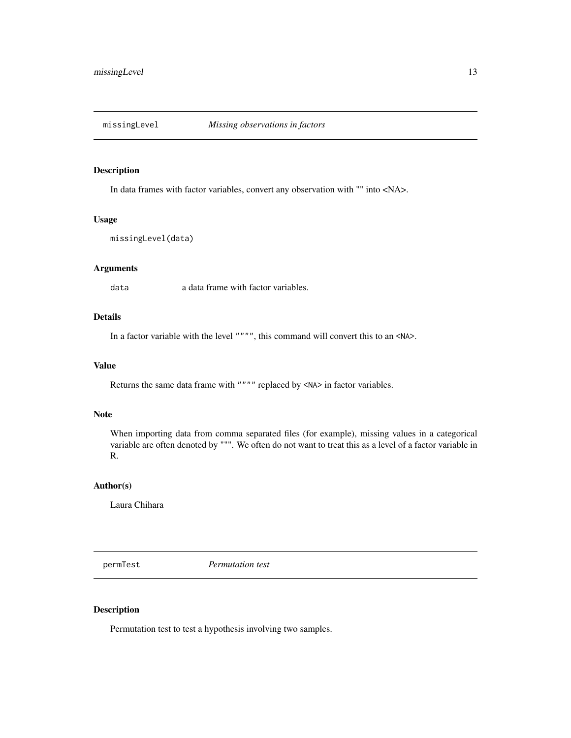<span id="page-12-0"></span>

In data frames with factor variables, convert any observation with "" into <NA>.

# Usage

```
missingLevel(data)
```
#### Arguments

data a data frame with factor variables.

# Details

In a factor variable with the level """", this command will convert this to an <NA>.

#### Value

Returns the same data frame with """" replaced by <NA> in factor variables.

#### Note

When importing data from comma separated files (for example), missing values in a categorical variable are often denoted by """. We often do not want to treat this as a level of a factor variable in R.

#### Author(s)

Laura Chihara

permTest *Permutation test*

# Description

Permutation test to test a hypothesis involving two samples.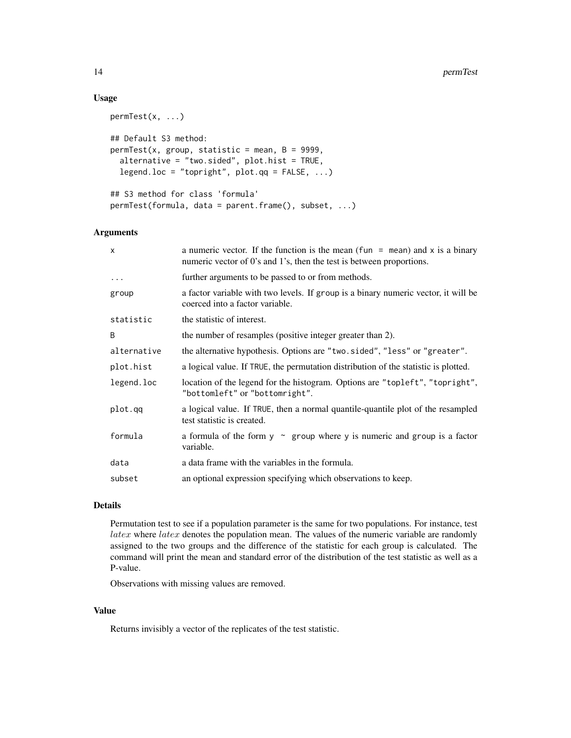# Usage

```
permTest(x, ...)
## Default S3 method:
permTest(x, group, statistic = mean, B = 9999,alternative = "two.sided", plot.hist = TRUE,
  legend.loc = "topright", plot.qq = FALSE, ...)## S3 method for class 'formula'
permTest(formula, data = parent.frame(), subset, ...)
```
#### Arguments

| a numeric vector. If the function is the mean (fun = mean) and x is a binary<br>numeric vector of 0's and 1's, then the test is between proportions. |  |
|------------------------------------------------------------------------------------------------------------------------------------------------------|--|
| further arguments to be passed to or from methods.                                                                                                   |  |
| a factor variable with two levels. If group is a binary numeric vector, it will be<br>coerced into a factor variable.                                |  |
| the statistic of interest.                                                                                                                           |  |
| the number of resamples (positive integer greater than 2).                                                                                           |  |
| the alternative hypothesis. Options are "two.sided", "less" or "greater".                                                                            |  |
| a logical value. If TRUE, the permutation distribution of the statistic is plotted.                                                                  |  |
| location of the legend for the histogram. Options are "topleft", "topright",<br>"bottomleft" or "bottomright".                                       |  |
| a logical value. If TRUE, then a normal quantile-quantile plot of the resampled<br>test statistic is created.                                        |  |
| a formula of the form $y \sim$ group where y is numeric and group is a factor<br>variable.                                                           |  |
| a data frame with the variables in the formula.                                                                                                      |  |
| an optional expression specifying which observations to keep.                                                                                        |  |
|                                                                                                                                                      |  |

### Details

Permutation test to see if a population parameter is the same for two populations. For instance, test  $\textit{later}$  where  $\textit{later}$  denotes the population mean. The values of the numeric variable are randomly assigned to the two groups and the difference of the statistic for each group is calculated. The command will print the mean and standard error of the distribution of the test statistic as well as a P-value.

Observations with missing values are removed.

# Value

Returns invisibly a vector of the replicates of the test statistic.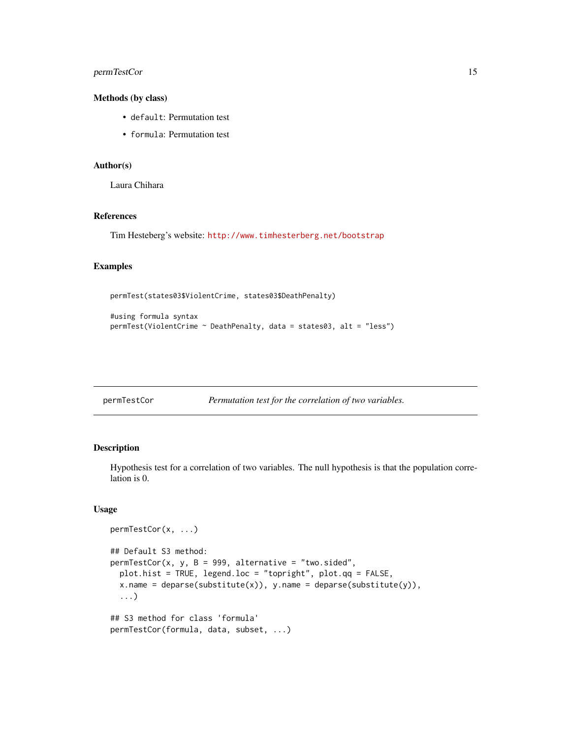#### <span id="page-14-0"></span>permTestCor 15

#### Methods (by class)

- default: Permutation test
- formula: Permutation test

#### Author(s)

Laura Chihara

#### References

Tim Hesteberg's website: <http://www.timhesterberg.net/bootstrap>

# Examples

```
permTest(states03$ViolentCrime, states03$DeathPenalty)
```

```
#using formula syntax
permTest(ViolentCrime ~ DeathPenalty, data = states03, alt = "less")
```

| permTestCor |  |
|-------------|--|
|             |  |

```
Permutation test for the correlation of two variables.
```
#### Description

Hypothesis test for a correlation of two variables. The null hypothesis is that the population correlation is 0.

#### Usage

```
permTestCor(x, ...)
## Default S3 method:
permTestCor(x, y, B = 999, alternative = "two.sided",plot.hist = TRUE, legend.loc = "topright", plot.qq = FALSE,
  x.name = deparse(substitute(x)), y.name = deparse(substitute(y)),...)
## S3 method for class 'formula'
permTestCor(formula, data, subset, ...)
```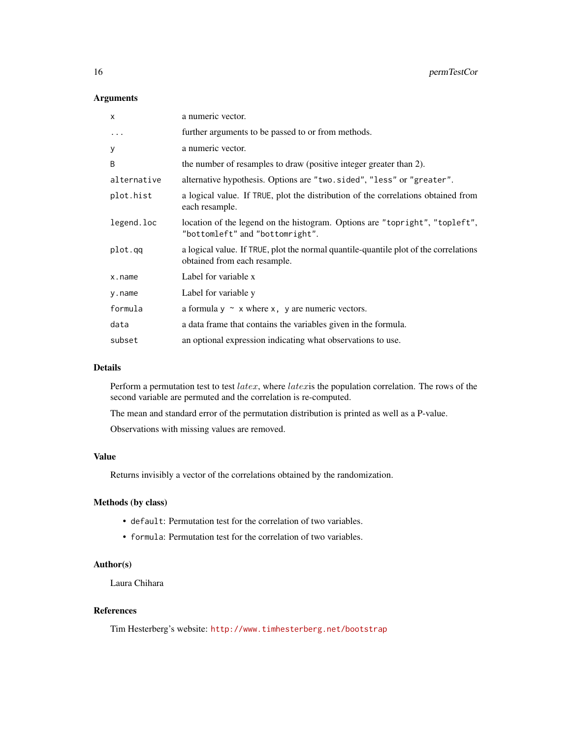# Arguments

| X           | a numeric vector.                                                                                                    |
|-------------|----------------------------------------------------------------------------------------------------------------------|
| $\ddotsc$   | further arguments to be passed to or from methods.                                                                   |
| У           | a numeric vector.                                                                                                    |
| B           | the number of resamples to draw (positive integer greater than 2).                                                   |
| alternative | alternative hypothesis. Options are "two.sided", "less" or "greater".                                                |
| plot.hist   | a logical value. If TRUE, plot the distribution of the correlations obtained from<br>each resample.                  |
| legend.loc  | location of the legend on the histogram. Options are "topright", "topleft",<br>"bottomleft" and "bottomright".       |
| plot.qq     | a logical value. If TRUE, plot the normal quantile-quantile plot of the correlations<br>obtained from each resample. |
| x.name      | Label for variable x                                                                                                 |
| y.name      | Label for variable y                                                                                                 |
| formula     | a formula $y \sim x$ where x, y are numeric vectors.                                                                 |
| data        | a data frame that contains the variables given in the formula.                                                       |
| subset      | an optional expression indicating what observations to use.                                                          |

#### Details

Perform a permutation test to test latex, where latexis the population correlation. The rows of the second variable are permuted and the correlation is re-computed.

The mean and standard error of the permutation distribution is printed as well as a P-value.

Observations with missing values are removed.

# Value

Returns invisibly a vector of the correlations obtained by the randomization.

#### Methods (by class)

- default: Permutation test for the correlation of two variables.
- formula: Permutation test for the correlation of two variables.

#### Author(s)

Laura Chihara

# References

Tim Hesterberg's website: <http://www.timhesterberg.net/bootstrap>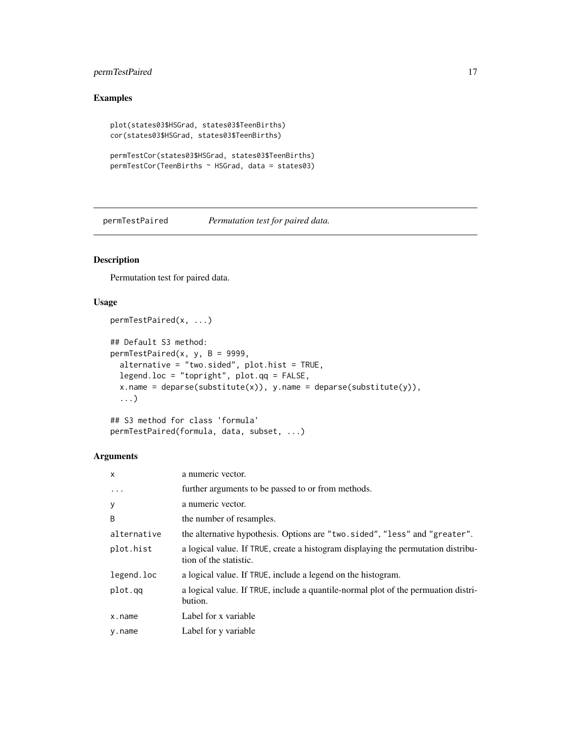# <span id="page-16-0"></span>permTestPaired 17

# Examples

```
plot(states03$HSGrad, states03$TeenBirths)
cor(states03$HSGrad, states03$TeenBirths)
permTestCor(states03$HSGrad, states03$TeenBirths)
permTestCor(TeenBirths ~ HSGrad, data = states03)
```
permTestPaired *Permutation test for paired data.*

# Description

Permutation test for paired data.

# Usage

```
permTestPaired(x, ...)
## Default S3 method:
permTestPaired(x, y, B = 9999,
  alternative = "two.sided", plot.hist = TRUE,
  legend.loc = "topright", plot.qq = FALSE,
 x.name = deparse(substitute(x)), y.name = deparse(substitute(y)),...)
```

```
## S3 method for class 'formula'
permTestPaired(formula, data, subset, ...)
```
# Arguments

| $\mathsf{x}$ | a numeric vector.                                                                                           |
|--------------|-------------------------------------------------------------------------------------------------------------|
| $\cdots$     | further arguments to be passed to or from methods.                                                          |
| У            | a numeric vector.                                                                                           |
| B            | the number of resamples.                                                                                    |
| alternative  | the alternative hypothesis. Options are "two.sided", "less" and "greater".                                  |
| plot.hist    | a logical value. If TRUE, create a histogram displaying the permutation distribu-<br>tion of the statistic. |
| legend.loc   | a logical value. If TRUE, include a legend on the histogram.                                                |
| plot.qq      | a logical value. If TRUE, include a quantile-normal plot of the permuation distri-<br>bution.               |
| x.name       | Label for x variable                                                                                        |
| y.name       | Label for y variable                                                                                        |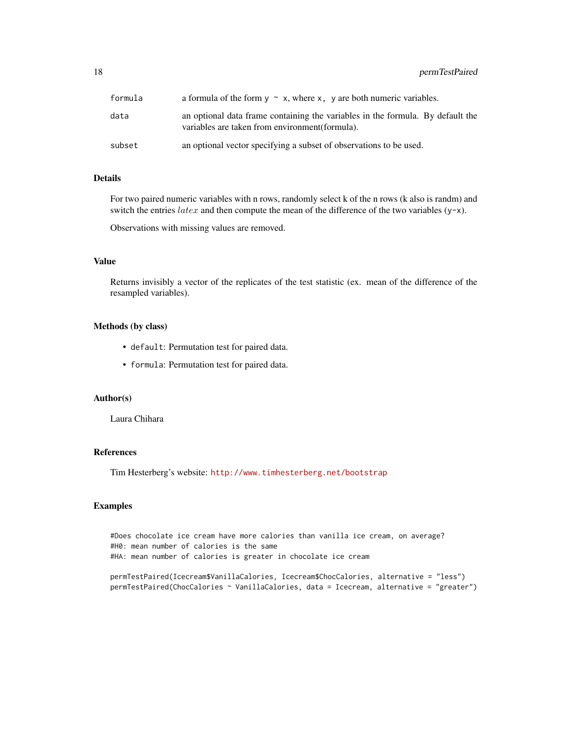18 permTestPaired

| formula | a formula of the form $y \sim x$ , where x, y are both numeric variables.                                                         |
|---------|-----------------------------------------------------------------------------------------------------------------------------------|
| data    | an optional data frame containing the variables in the formula. By default the<br>variables are taken from environment (formula). |
| subset  | an optional vector specifying a subset of observations to be used.                                                                |

# Details

For two paired numeric variables with n rows, randomly select k of the n rows (k also is randm) and switch the entries  $later$  and then compute the mean of the difference of the two variables (y-x).

Observations with missing values are removed.

#### Value

Returns invisibly a vector of the replicates of the test statistic (ex. mean of the difference of the resampled variables).

#### Methods (by class)

- default: Permutation test for paired data.
- formula: Permutation test for paired data.

#### Author(s)

Laura Chihara

# References

Tim Hesterberg's website: <http://www.timhesterberg.net/bootstrap>

#### Examples

#Does chocolate ice cream have more calories than vanilla ice cream, on average? #H0: mean number of calories is the same #HA: mean number of calories is greater in chocolate ice cream

```
permTestPaired(Icecream$VanillaCalories, Icecream$ChocCalories, alternative = "less")
permTestPaired(ChocCalories ~ VanillaCalories, data = Icecream, alternative = "greater")
```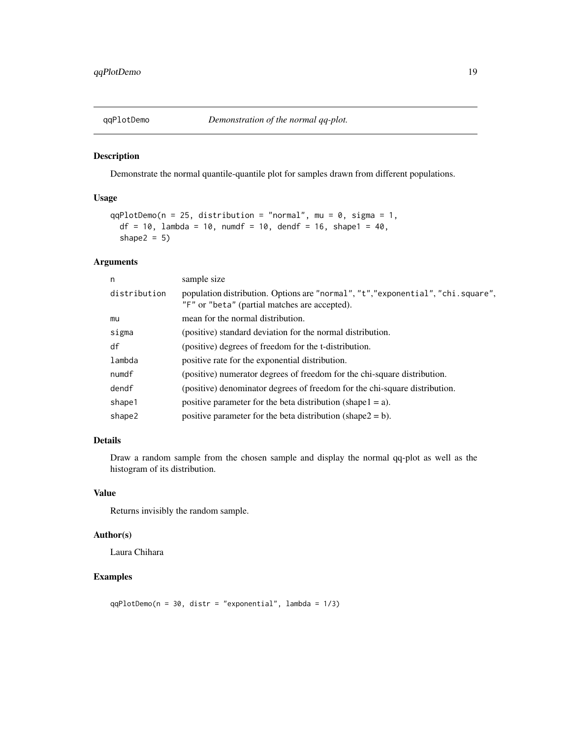<span id="page-18-0"></span>

Demonstrate the normal quantile-quantile plot for samples drawn from different populations.

#### Usage

```
qqPlotDemo(n = 25, distribution = "normal", mu = 0, sigma = 1,
 df = 10, lambda = 10, numdf = 10, dendf = 16, shape1 = 40,
  shape2 = 5)
```
# Arguments

| n            | sample size                                                                                                                      |
|--------------|----------------------------------------------------------------------------------------------------------------------------------|
| distribution | population distribution. Options are "normal", "t","exponential", "chi.square",<br>"F" or "beta" (partial matches are accepted). |
| mu           | mean for the normal distribution.                                                                                                |
| sigma        | (positive) standard deviation for the normal distribution.                                                                       |
| df           | (positive) degrees of freedom for the t-distribution.                                                                            |
| lambda       | positive rate for the exponential distribution.                                                                                  |
| numdf        | (positive) numerator degrees of freedom for the chi-square distribution.                                                         |
| dendf        | (positive) denominator degrees of freedom for the chi-square distribution.                                                       |
| shape1       | positive parameter for the beta distribution (shape $1 = a$ ).                                                                   |
| shape2       | positive parameter for the beta distribution (shape $2 = b$ ).                                                                   |

# Details

Draw a random sample from the chosen sample and display the normal qq-plot as well as the histogram of its distribution.

# Value

Returns invisibly the random sample.

#### Author(s)

Laura Chihara

# Examples

qqPlotDemo(n = 30, distr = "exponential", lambda = 1/3)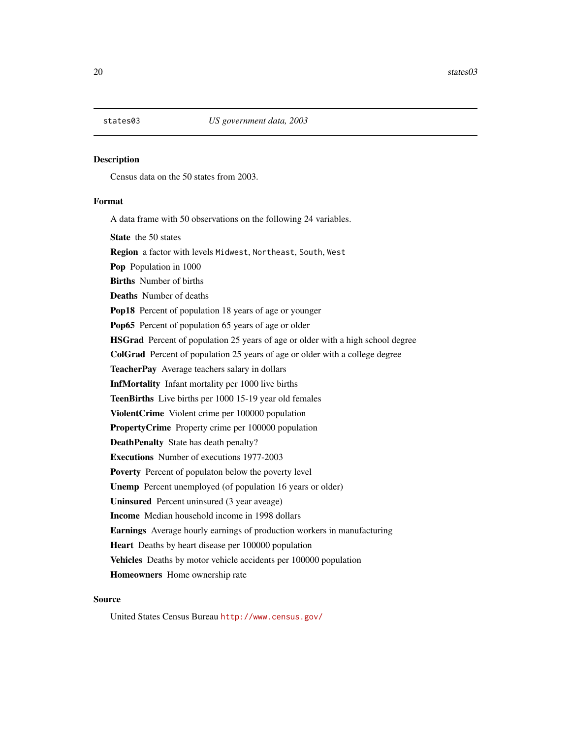<span id="page-19-0"></span>

Census data on the 50 states from 2003.

#### Format

A data frame with 50 observations on the following 24 variables.

State the 50 states

Region a factor with levels Midwest, Northeast, South, West

Pop Population in 1000

Births Number of births

Deaths Number of deaths

Pop18 Percent of population 18 years of age or younger

Pop65 Percent of population 65 years of age or older

HSGrad Percent of population 25 years of age or older with a high school degree

ColGrad Percent of population 25 years of age or older with a college degree

TeacherPay Average teachers salary in dollars

InfMortality Infant mortality per 1000 live births

TeenBirths Live births per 1000 15-19 year old females

ViolentCrime Violent crime per 100000 population

PropertyCrime Property crime per 100000 population

DeathPenalty State has death penalty?

Executions Number of executions 1977-2003

Poverty Percent of populaton below the poverty level

Unemp Percent unemployed (of population 16 years or older)

Uninsured Percent uninsured (3 year aveage)

Income Median household income in 1998 dollars

Earnings Average hourly earnings of production workers in manufacturing

Heart Deaths by heart disease per 100000 population

Vehicles Deaths by motor vehicle accidents per 100000 population

Homeowners Home ownership rate

#### Source

United States Census Bureau <http://www.census.gov/>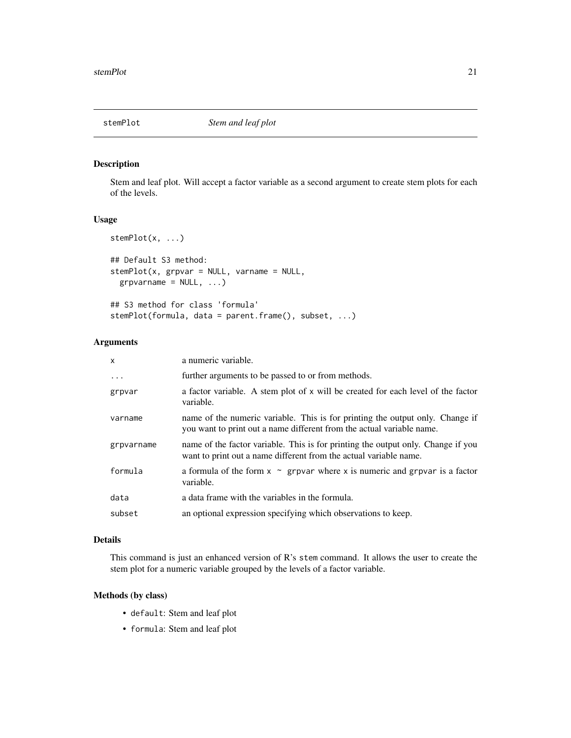<span id="page-20-0"></span>

Stem and leaf plot. Will accept a factor variable as a second argument to create stem plots for each of the levels.

# Usage

```
stemPlot(x, ...)
## Default S3 method:
stemPlot(x, grpvar = NULL, varname = NULL,grpvarname = NULL, \ldots)
## S3 method for class 'formula'
stemPlot(formula, data = parent.frame(), subset, ...)
```
#### Arguments

| $\mathsf{x}$ | a numeric variable.                                                                                                                                    |
|--------------|--------------------------------------------------------------------------------------------------------------------------------------------------------|
| .            | further arguments to be passed to or from methods.                                                                                                     |
| grpvar       | a factor variable. A stem plot of x will be created for each level of the factor<br>variable.                                                          |
| varname      | name of the numeric variable. This is for printing the output only. Change if<br>you want to print out a name different from the actual variable name. |
| grpvarname   | name of the factor variable. This is for printing the output only. Change if you<br>want to print out a name different from the actual variable name.  |
| formula      | a formula of the form $x \sim g$ rpvar where x is numeric and grpvar is a factor<br>variable.                                                          |
| data         | a data frame with the variables in the formula.                                                                                                        |
| subset       | an optional expression specifying which observations to keep.                                                                                          |
|              |                                                                                                                                                        |

# Details

This command is just an enhanced version of R's stem command. It allows the user to create the stem plot for a numeric variable grouped by the levels of a factor variable.

#### Methods (by class)

- default: Stem and leaf plot
- formula: Stem and leaf plot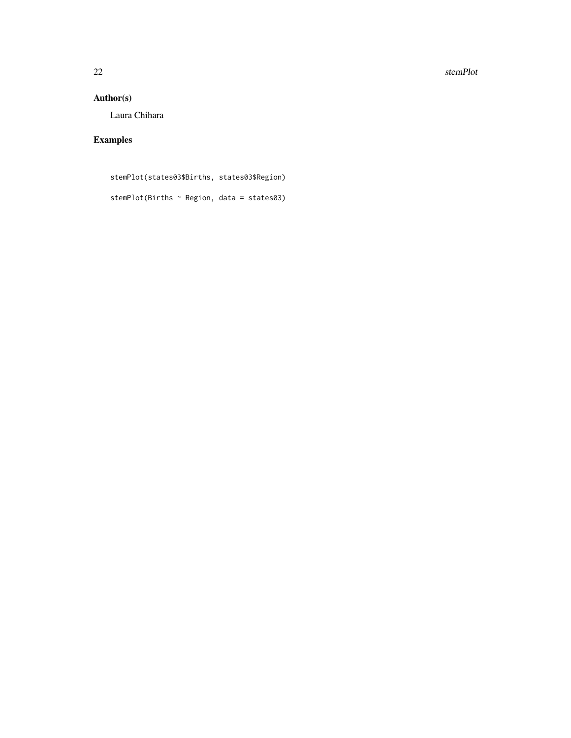22 stemPlot

# Author(s)

Laura Chihara

# Examples

stemPlot(states03\$Births, states03\$Region) stemPlot(Births ~ Region, data = states03)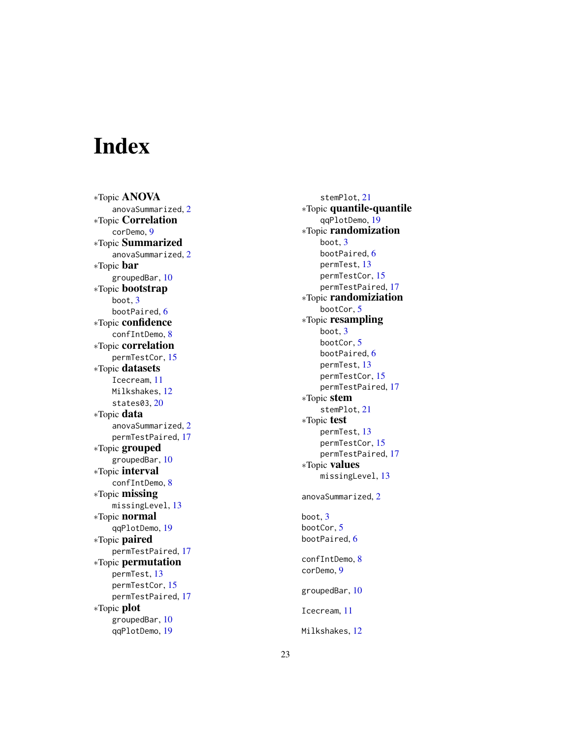# <span id="page-22-0"></span>Index

∗Topic ANOVA anovaSummarized , [2](#page-1-0) ∗Topic Correlation corDemo , [9](#page-8-0) ∗Topic Summarized anovaSummarized , [2](#page-1-0) ∗Topic bar groupedBar , [10](#page-9-0) ∗Topic bootstrap boot , [3](#page-2-0) bootPaired, [6](#page-5-0) ∗Topic confidence confIntDemo , [8](#page-7-0) ∗Topic correlation permTestCor , [15](#page-14-0) ∗Topic datasets Icecream , [11](#page-10-0) Milkshakes , [12](#page-11-0) states03 , [20](#page-19-0) ∗Topic data anovaSummarized , [2](#page-1-0) permTestPaired , [17](#page-16-0) ∗Topic grouped groupedBar , [10](#page-9-0) ∗Topic interval confIntDemo , [8](#page-7-0) ∗Topic missing missingLevel, [13](#page-12-0) ∗Topic normal qqPlotDemo , [19](#page-18-0) ∗Topic paired permTestPaired , [17](#page-16-0) ∗Topic permutation permTest , [13](#page-12-0) permTestCor , [15](#page-14-0) permTestPaired , [17](#page-16-0) ∗Topic plot groupedBar , [10](#page-9-0) qqPlotDemo , [19](#page-18-0)

stemPlot , [21](#page-20-0) ∗Topic quantile-quantile qqPlotDemo , [19](#page-18-0) ∗Topic randomization boot , [3](#page-2-0) bootPaired, [6](#page-5-0) permTest , [13](#page-12-0) permTestCor , [15](#page-14-0) permTestPaired , [17](#page-16-0) ∗Topic randomiziation bootCor , [5](#page-4-0) ∗Topic resampling boot , [3](#page-2-0) bootCor , [5](#page-4-0) bootPaired, [6](#page-5-0) permTest , [13](#page-12-0) permTestCor , [15](#page-14-0) permTestPaired , [17](#page-16-0) ∗Topic stem stemPlot , [21](#page-20-0) ∗Topic test permTest , [13](#page-12-0) permTestCor , [15](#page-14-0) permTestPaired , [17](#page-16-0) ∗Topic values missingLevel , [13](#page-12-0) anovaSummarized, $2$ boot , [3](#page-2-0) bootCor , [5](#page-4-0) bootPaired, [6](#page-5-0) confIntDemo, [8](#page-7-0) corDemo , [9](#page-8-0) groupedBar , [10](#page-9-0) Icecream , [11](#page-10-0) Milkshakes , [12](#page-11-0)